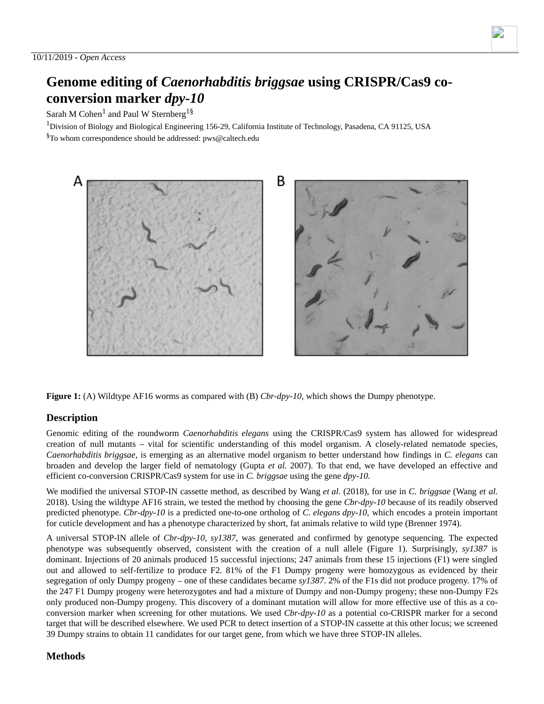# **Genome editing of** *Caenorhabditis briggsae* **using CRISPR/Cas9 coconversion marker** *dpy-10*

Sarah M Cohen<sup>1</sup> and Paul W Sternberg<sup>1§</sup>

 $1$ Division of Biology and Biological Engineering 156-29, California Institute of Technology, Pasadena, CA 91125, USA

 ${}^{8}$ To whom correspondence should be addressed: pws@caltech.edu



**Figure 1:** (A) Wildtype AF16 worms as compared with (B) *Cbr-dpy-10*, which shows the Dumpy phenotype.

## **Description**

Genomic editing of the roundworm *Caenorhabditis elegans* using the CRISPR/Cas9 system has allowed for widespread creation of null mutants – vital for scientific understanding of this model organism. A closely-related nematode species, *Caenorhabditis briggsae*, is emerging as an alternative model organism to better understand how findings in *C. elegans* can broaden and develop the larger field of nematology (Gupta *et al.* 2007). To that end, we have developed an effective and efficient co-conversion CRISPR/Cas9 system for use in *C. briggsae* using the gene *dpy-10*.

We modified the universal STOP-IN cassette method, as described by Wang *et al.* (2018), for use in *C. briggsae* (Wang *et al.* 2018). Using the wildtype AF16 strain, we tested the method by choosing the gene *Cbr-dpy-10* because of its readily observed predicted phenotype. *Cbr-dpy-10* is a predicted one-to-one ortholog of *C. elegans dpy-10*, which encodes a protein important for cuticle development and has a phenotype characterized by short, fat animals relative to wild type (Brenner 1974).

A universal STOP-IN allele of *Cbr-dpy-10, sy1387,* was generated and confirmed by genotype sequencing. The expected phenotype was subsequently observed, consistent with the creation of a null allele (Figure 1). Surprisingly, *sy1387* is dominant. Injections of 20 animals produced 15 successful injections; 247 animals from these 15 injections (F1) were singled out and allowed to self-fertilize to produce F2. 81% of the F1 Dumpy progeny were homozygous as evidenced by their segregation of only Dumpy progeny – one of these candidates became *sy1387*. 2% of the F1s did not produce progeny. 17% of the 247 F1 Dumpy progeny were heterozygotes and had a mixture of Dumpy and non-Dumpy progeny; these non-Dumpy F2s only produced non-Dumpy progeny. This discovery of a dominant mutation will allow for more effective use of this as a coconversion marker when screening for other mutations. We used *Cbr-dpy-10* as a potential co-CRISPR marker for a second target that will be described elsewhere. We used PCR to detect insertion of a STOP-IN cassette at this other locus; we screened 39 Dumpy strains to obtain 11 candidates for our target gene, from which we have three STOP-IN alleles.

## **Methods**